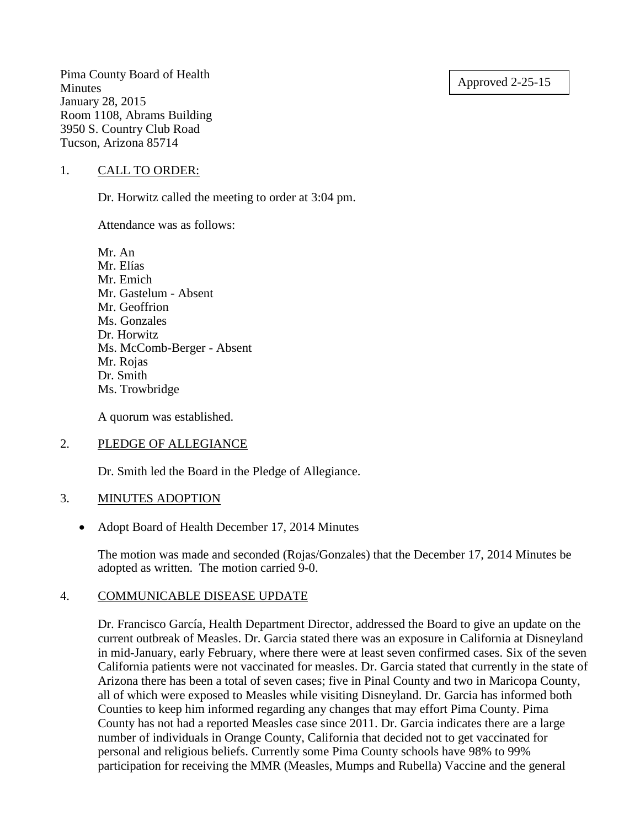Approved 2-25-15

Pima County Board of Health Minutes January 28, 2015 Room 1108, Abrams Building 3950 S. Country Club Road Tucson, Arizona 85714

### 1. CALL TO ORDER:

Dr. Horwitz called the meeting to order at 3:04 pm.

Attendance was as follows:

Mr. An Mr. Elías Mr. Emich Mr. Gastelum - Absent Mr. Geoffrion Ms. Gonzales Dr. Horwitz Ms. McComb-Berger - Absent Mr. Rojas Dr. Smith Ms. Trowbridge

A quorum was established.

### 2. PLEDGE OF ALLEGIANCE

Dr. Smith led the Board in the Pledge of Allegiance.

### 3. MINUTES ADOPTION

• Adopt Board of Health December 17, 2014 Minutes

The motion was made and seconded (Rojas/Gonzales) that the December 17, 2014 Minutes be adopted as written. The motion carried 9-0.

# 4. COMMUNICABLE DISEASE UPDATE

Dr. Francisco García, Health Department Director, addressed the Board to give an update on the current outbreak of Measles. Dr. Garcia stated there was an exposure in California at Disneyland in mid-January, early February, where there were at least seven confirmed cases. Six of the seven California patients were not vaccinated for measles. Dr. Garcia stated that currently in the state of Arizona there has been a total of seven cases; five in Pinal County and two in Maricopa County, all of which were exposed to Measles while visiting Disneyland. Dr. Garcia has informed both Counties to keep him informed regarding any changes that may effort Pima County. Pima County has not had a reported Measles case since 2011. Dr. Garcia indicates there are a large number of individuals in Orange County, California that decided not to get vaccinated for personal and religious beliefs. Currently some Pima County schools have 98% to 99% participation for receiving the MMR (Measles, Mumps and Rubella) Vaccine and the general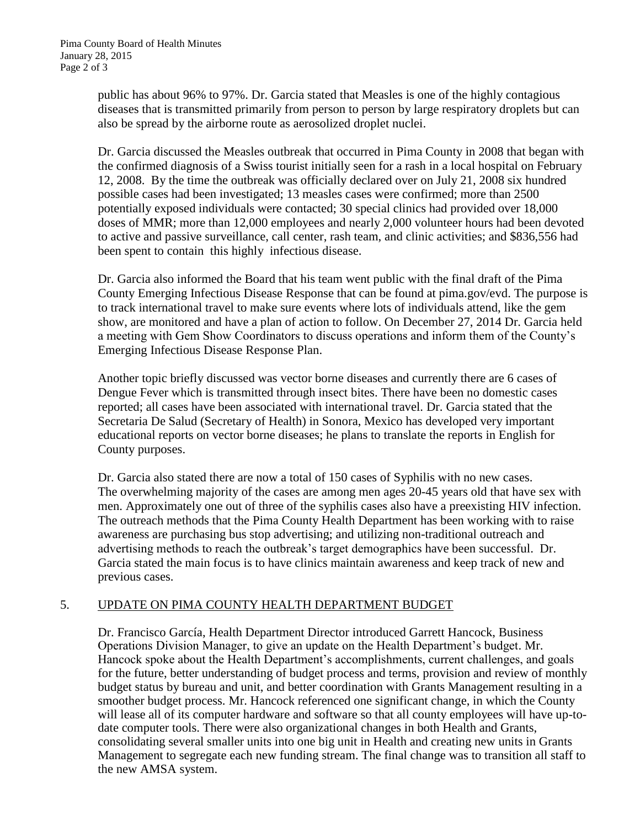public has about 96% to 97%. Dr. Garcia stated that Measles is one of the highly contagious diseases that is transmitted primarily from person to person by large respiratory droplets but can also be spread by the airborne route as aerosolized droplet nuclei.

Dr. Garcia discussed the Measles outbreak that occurred in Pima County in 2008 that began with the confirmed diagnosis of a Swiss tourist initially seen for a rash in a local hospital on February 12, 2008. By the time the outbreak was officially declared over on July 21, 2008 six hundred possible cases had been investigated; 13 measles cases were confirmed; more than 2500 potentially exposed individuals were contacted; 30 special clinics had provided over 18,000 doses of MMR; more than 12,000 employees and nearly 2,000 volunteer hours had been devoted to active and passive surveillance, call center, rash team, and clinic activities; and \$836,556 had been spent to contain this highly infectious disease.

Dr. Garcia also informed the Board that his team went public with the final draft of the Pima County Emerging Infectious Disease Response that can be found at pima.gov/evd. The purpose is to track international travel to make sure events where lots of individuals attend, like the gem show, are monitored and have a plan of action to follow. On December 27, 2014 Dr. Garcia held a meeting with Gem Show Coordinators to discuss operations and inform them of the County's Emerging Infectious Disease Response Plan.

Another topic briefly discussed was vector borne diseases and currently there are 6 cases of Dengue Fever which is transmitted through insect bites. There have been no domestic cases reported; all cases have been associated with international travel. Dr. Garcia stated that the Secretaria De Salud (Secretary of Health) in Sonora, Mexico has developed very important educational reports on vector borne diseases; he plans to translate the reports in English for County purposes.

Dr. Garcia also stated there are now a total of 150 cases of Syphilis with no new cases. The overwhelming majority of the cases are among men ages 20-45 years old that have sex with men. Approximately one out of three of the syphilis cases also have a preexisting HIV infection. The outreach methods that the Pima County Health Department has been working with to raise awareness are purchasing bus stop advertising; and utilizing non-traditional outreach and advertising methods to reach the outbreak's target demographics have been successful. Dr. Garcia stated the main focus is to have clinics maintain awareness and keep track of new and previous cases.

# 5. UPDATE ON PIMA COUNTY HEALTH DEPARTMENT BUDGET

Dr. Francisco García, Health Department Director introduced Garrett Hancock, Business Operations Division Manager, to give an update on the Health Department's budget. Mr. Hancock spoke about the Health Department's accomplishments, current challenges, and goals for the future, better understanding of budget process and terms, provision and review of monthly budget status by bureau and unit, and better coordination with Grants Management resulting in a smoother budget process. Mr. Hancock referenced one significant change, in which the County will lease all of its computer hardware and software so that all county employees will have up-todate computer tools. There were also organizational changes in both Health and Grants, consolidating several smaller units into one big unit in Health and creating new units in Grants Management to segregate each new funding stream. The final change was to transition all staff to the new AMSA system.